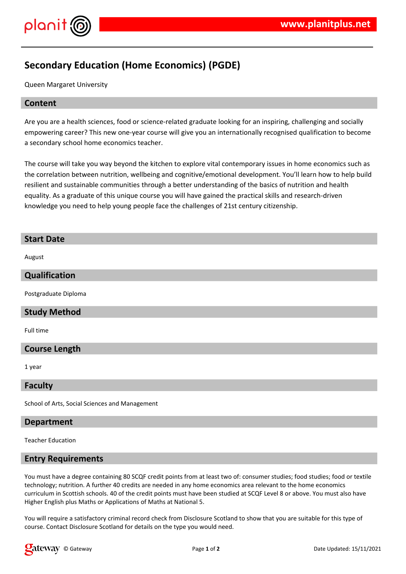

## **Secondary Education (Home Economics) (PGDE)**

Queen Margaret University

#### **Content**

Are you are a health sciences, food or science-related graduate looking for an inspiring, challenging and socially empowering career? This new one-year course will give you an internationally recognised qualification to become a secondary school home economics teacher.

The course will take you way beyond the kitchen to explore vital contemporary issues in home economics such as the correlation between nutrition, wellbeing and cognitive/emotional development. You'll learn how to help build resilient and sustainable communities through a better understanding of the basics of nutrition and health equality. As a graduate of this unique course you will have gained the practical skills and research-driven knowledge you need to help young people face the challenges of 21st century citizenship.

# **Start Date** August **Qualification** Postgraduate Diploma

#### **Study Method**

Full time

#### **Course Length**

1 year

#### **Faculty**

School of Arts, Social Sciences and Management

#### **Department**

Teacher Education

#### **Entry Requirements**

You must have a degree containing 80 SCQF credit points from at least two of: consumer studies; food studies; food or textile technology; nutrition. A further 40 credits are needed in any home economics area relevant to the home economics curriculum in Scottish schools. 40 of the credit points must have been studied at SCQF Level 8 or above. You must also have Higher English plus Maths or Applications of Maths at National 5.

You will require a satisfactory criminal record check from Disclosure Scotland to show that you are suitable for this type of course. Contact Disclosure Scotland for details on the type you would need.